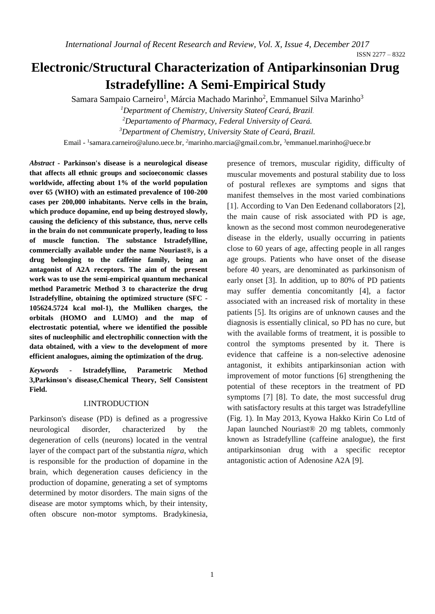# **Electronic/Structural Characterization of Antiparkinsonian Drug Istradefylline: A Semi-Empirical Study**

Samara Sampaio Carneiro<sup>1</sup>, Márcia Machado Marinho<sup>2</sup>, Emmanuel Silva Marinho<sup>3</sup>

*Department of Chemistry, University Stateof Ceará, Brazil. Departamento of Pharmacy, Federal University of Ceará. Department of Chemistry, University State of Ceará, Brazil.* Email - 1 [samara.carneiro@aluno.uece.br,](mailto:1samara.carneiro@aluno.uece.br)  *<sup>2</sup>*[marinho.marcia@gmail.com.br](mailto:2marinho.marcia@gmail.com.br), 3 emmanuel.marinho@uece.br

*Abstract -* **Parkinson's disease is a neurological disease that affects all ethnic groups and socioeconomic classes worldwide, affecting about 1% of the world population over 65 (WHO) with an estimated prevalence of 100-200 cases per 200,000 inhabitants. Nerve cells in the brain, which produce dopamine, end up being destroyed slowly, causing the deficiency of this substance, thus, nerve cells in the brain do not communicate properly, leading to loss of muscle function. The substance Istradefylline, commercially available under the name Nouriast®, is a drug belonging to the caffeine family, being an antagonist of A2A receptors. The aim of the present work was to use the semi-empirical quantum mechanical method Parametric Method 3 to characterize the drug Istradefylline, obtaining the optimized structure (SFC - 105624.5724 kcal mol-1), the Mulliken charges, the orbitals (HOMO and LUMO) and the map of electrostatic potential, where we identified the possible sites of nucleophilic and electrophilic connection with the data obtained, with a view to the development of more efficient analogues, aiming the optimization of the drug.**

*Keywords* **- Istradefylline, Parametric Method 3,Parkinson's disease,Chemical Theory, Self Consistent Field.**

## I.INTRODUCTION

Parkinson's disease (PD) is defined as a progressive neurological disorder, characterized by the degeneration of cells (neurons) located in the ventral layer of the compact part of the substantia *nigra*, which is responsible for the production of dopamine in the brain, which degeneration causes deficiency in the production of dopamine, generating a set of symptoms determined by motor disorders. The main signs of the disease are motor symptoms which, by their intensity, often obscure non-motor symptoms. Bradykinesia,

presence of tremors, muscular rigidity, difficulty of muscular movements and postural stability due to loss of postural reflexes are symptoms and signs that manifest themselves in the most varied combinations [1]. According to Van Den Eedenand collaborators [2], the main cause of risk associated with PD is age, known as the second most common neurodegenerative disease in the elderly, usually occurring in patients close to 60 years of age, affecting people in all ranges age groups. Patients who have onset of the disease before 40 years, are denominated as parkinsonism of early onset [3]. In addition, up to 80% of PD patients may suffer dementia concomitantly [4], a factor associated with an increased risk of mortality in these patients [5]. Its origins are of unknown causes and the diagnosis is essentially clinical, so PD has no cure, but with the available forms of treatment, it is possible to control the symptoms presented by it. There is evidence that caffeine is a non-selective adenosine antagonist, it exhibits antiparkinsonian action with improvement of motor functions [6] strengthening the potential of these receptors in the treatment of PD symptoms [7] [8]. To date, the most successful drug with satisfactory results at this target was Istradefylline (Fig. 1). In May 2013, Kyowa Hakko Kirin Co Ltd of Japan launched Nouriast® 20 mg tablets, commonly known as Istradefylline (caffeine analogue), the first antiparkinsonian drug with a specific receptor antagonistic action of Adenosine A2A [9].

ISSN 2277 – 8322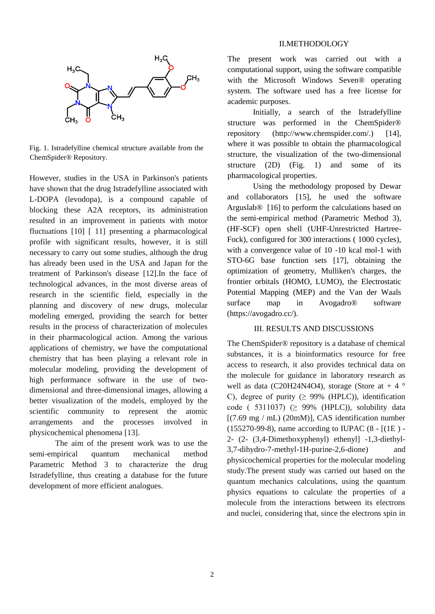

Fig. 1. Istradefylline chemical structure available from the ChemSpider® Repository.

However, studies in the USA in Parkinson's patients have shown that the drug Istradefylline associated with L-DOPA (levodopa), is a compound capable of blocking these A2A receptors, its administration resulted in an improvement in patients with motor fluctuations [10] [ 11] presenting a pharmacological profile with significant results, however, it is still necessary to carry out some studies, although the drug has already been used in the USA and Japan for the treatment of Parkinson's disease [12].In the face of technological advances, in the most diverse areas of research in the scientific field, especially in the planning and discovery of new drugs, molecular modeling emerged, providing the search for better results in the process of characterization of molecules in their pharmacological action. Among the various applications of chemistry, we have the computational chemistry that has been playing a relevant role in molecular modeling, providing the development of high performance software in the use of twodimensional and three-dimensional images, allowing a better visualization of the models, employed by the scientific community to represent the atomic arrangements and the processes involved in physicochemical phenomena [13].

The aim of the present work was to use the semi-empirical quantum mechanical method Parametric Method 3 to characterize the drug Istradefylline, thus creating a database for the future development of more efficient analogues.

### II.METHODOLOGY

The present work was carried out with a computational support, using the software compatible with the Microsoft Windows Seven® operating system. The software used has a free license for academic purposes.

Initially, a search of the Istradefylline structure was performed in the ChemSpider® repository (http://www.chemspider.com/.) [14], where it was possible to obtain the pharmacological structure, the visualization of the two-dimensional structure (2D) (Fig. 1) and some of its pharmacological properties.

Using the methodology proposed by Dewar and collaborators [15], he used the software Arguslab® [16] to perform the calculations based on the semi-empirical method (Parametric Method 3), (HF-SCF) open shell (UHF-Unrestricted Hartree-Fock), configured for 300 interactions ( 1000 cycles), with a convergence value of 10 -10 kcal mol-1 with STO-6G base function sets [17], obtaining the optimization of geometry, Mulliken's charges, the frontier orbitals (HOMO, LUMO), the Electrostatic Potential Mapping (MEP) and the Van der Waals surface map in Avogadro® software (https://avogadro.cc/).

### III. RESULTS AND DISCUSSIONS

The ChemSpider® repository is a database of chemical substances, it is a bioinformatics resource for free access to research, it also provides technical data on the molecule for guidance in laboratory research as well as data (C20H24N4O4), storage (Store at  $+$  4  $\circ$ C), degree of purity ( $\geq$  99% (HPLC)), identification code ( 5311037)  $(≥ 99% (HPLC))$ , solubility data [(7.69 mg / mL) (20mM)], CAS identification number (155270-99-8), name according to IUPAC (8 - [(1E ) - 2- (2- (3,4-Dimethoxyphenyl) ethenyl] -1,3-diethyl-3,7-dihydro-7-methyl-1H-purine-2,6-dione) and physicochemical properties for the molecular modeling study.The present study was carried out based on the quantum mechanics calculations, using the quantum physics equations to calculate the properties of a molecule from the interactions between its electrons and nuclei, considering that, since the electrons spin in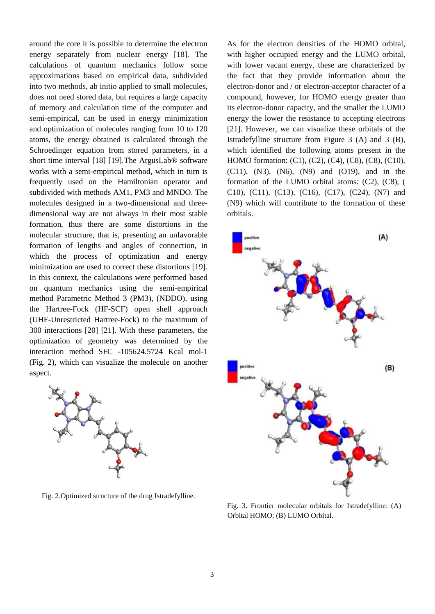around the core it is possible to determine the electron energy separately from nuclear energy [18]. The calculations of quantum mechanics follow some approximations based on empirical data, subdivided into two methods, ab initio applied to small molecules, does not need stored data, but requires a large capacity of memory and calculation time of the computer and semi-empirical, can be used in energy minimization and optimization of molecules ranging from 10 to 120 atoms, the energy obtained is calculated through the Schroedinger equation from stored parameters, in a short time interval [18] [19].The ArgusLab® software works with a semi-empirical method, which in turn is frequently used on the Hamiltonian operator and subdivided with methods AM1, PM3 and MNDO. The molecules designed in a two-dimensional and threedimensional way are not always in their most stable formation, thus there are some distortions in the molecular structure, that is, presenting an unfavorable formation of lengths and angles of connection, in which the process of optimization and energy minimization are used to correct these distortions [19]. In this context, the calculations were performed based on quantum mechanics using the semi-empirical method Parametric Method 3 (PM3), (NDDO), using the Hartree-Fock (HF-SCF) open shell approach (UHF-Unrestricted Hartree-Fock) to the maximum of 300 interactions [20] [21]. With these parameters, the optimization of geometry was determined by the interaction method SFC -105624.5724 Kcal mol-1 (Fig. 2), which can visualize the molecule on another aspect.



Fig. 2.Optimized structure of the drug Istradefylline.

As for the electron densities of the HOMO orbital, with higher occupied energy and the LUMO orbital, with lower vacant energy, these are characterized by the fact that they provide information about the electron-donor and / or electron-acceptor character of a compound, however, for HOMO energy greater than its electron-donor capacity, and the smaller the LUMO energy the lower the resistance to accepting electrons [21]. However, we can visualize these orbitals of the Istradefylline structure from Figure 3 (A) and 3 (B), which identified the following atoms present in the HOMO formation: (C1), (C2), (C4), (C8), (C8), (C10), (C11), (N3), (N6), (N9) and (O19), and in the formation of the LUMO orbital atoms: (C2), (C8), ( C10), (C11), (C13), (C16), (C17), (C24), (N7) and (N9) which will contribute to the formation of these orbitals.



Fig. 3**.** Frontier molecular orbitals for Istradefylline: (A) Orbital HOMO; (B) LUMO Orbital.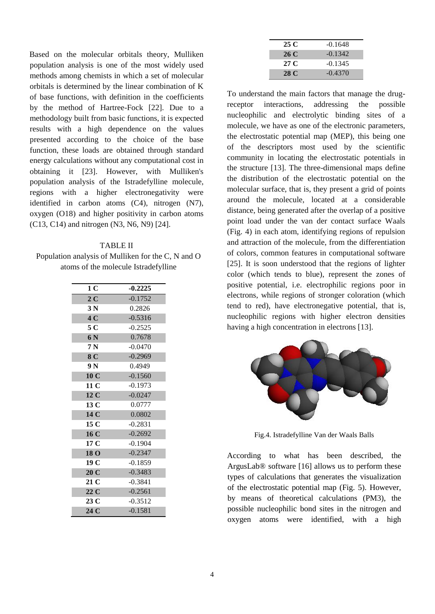Based on the molecular orbitals theory, Mulliken population analysis is one of the most widely used methods among chemists in which a set of molecular orbitals is determined by the linear combination of K of base functions, with definition in the coefficients by the method of Hartree-Fock [22]. Due to a methodology built from basic functions, it is expected results with a high dependence on the values presented according to the choice of the base function, these loads are obtained through standard energy calculations without any computational cost in obtaining it [23]. However, with Mulliken's population analysis of the Istradefylline molecule, regions with a higher electronegativity were identified in carbon atoms (C4), nitrogen (N7), oxygen (O18) and higher positivity in carbon atoms (C13, C14) and nitrogen (N3, N6, N9) [24].

TABLE II Population analysis of Mulliken for the C, N and O atoms of the molecule Istradefylline

| 1 <sub>C</sub>  | $-0.2225$ |
|-----------------|-----------|
| $2\overline{C}$ | $-0.1752$ |
| 3 <sub>N</sub>  | 0.2826    |
| 4C              | $-0.5316$ |
| 5 C             | $-0.2525$ |
| 6N              | 0.7678    |
| 7 <sub>N</sub>  | $-0.0470$ |
| 8 C             | $-0.2969$ |
| 9 N             | 0.4949    |
| 10 <sub>C</sub> | $-0.1560$ |
| 11 <sub>C</sub> | $-0.1973$ |
| 12 <sub>C</sub> | $-0.0247$ |
| 13 C            | 0.0777    |
| 14 C            | 0.0802    |
| 15 C            | $-0.2831$ |
| 16C             | $-0.2692$ |
| 17 C            | $-0.1904$ |
| 18 O            | $-0.2347$ |
| 19 C            | $-0.1859$ |
| 20 C            | $-0.3483$ |
| 21 <sub>C</sub> | $-0.3841$ |
| 22 C            | $-0.2561$ |
| 23 C            | $-0.3512$ |
| 24 C            | $-0.1581$ |

| $25 \, C$ | $-0.1648$ |
|-----------|-----------|
| 26C       | $-0.1342$ |
| $27 \, C$ | $-0.1345$ |
| 28 C      | $-0.4370$ |

To understand the main factors that manage the drugreceptor interactions, addressing the possible nucleophilic and electrolytic binding sites of a molecule, we have as one of the electronic parameters, the electrostatic potential map (MEP), this being one of the descriptors most used by the scientific community in locating the electrostatic potentials in the structure [13]. The three-dimensional maps define the distribution of the electrostatic potential on the molecular surface, that is, they present a grid of points around the molecule, located at a considerable distance, being generated after the overlap of a positive point load under the van der contact surface Waals (Fig. 4) in each atom, identifying regions of repulsion and attraction of the molecule, from the differentiation of colors, common features in computational software [25]. It is soon understood that the regions of lighter color (which tends to blue), represent the zones of positive potential, i.e. electrophilic regions poor in electrons, while regions of stronger coloration (which tend to red), have electronegative potential, that is, nucleophilic regions with higher electron densities having a high concentration in electrons [13].



Fig.4. Istradefylline Van der Waals Balls

According to what has been described, the ArgusLab® software [16] allows us to perform these types of calculations that generates the visualization of the electrostatic potential map (Fig. 5). However, by means of theoretical calculations (PM3), the possible nucleophilic bond sites in the nitrogen and oxygen atoms were identified, with a high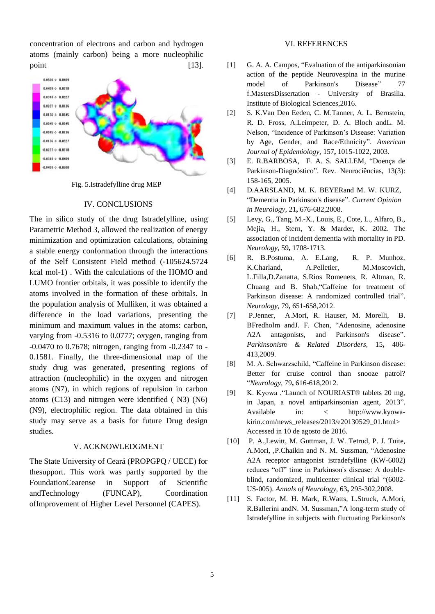concentration of electrons and carbon and hydrogen atoms (mainly carbon) being a more nucleophilic point [13].



Fig. 5.Istradefylline drug MEP

#### IV. CONCLUSIONS

The in silico study of the drug Istradefylline, using Parametric Method 3, allowed the realization of energy minimization and optimization calculations, obtaining a stable energy conformation through the interactions of the Self Consistent Field method (-105624.5724 kcal mol-1) . With the calculations of the HOMO and LUMO frontier orbitals, it was possible to identify the atoms involved in the formation of these orbitals. In the population analysis of Mulliken, it was obtained a difference in the load variations, presenting the minimum and maximum values in the atoms: carbon, varying from -0.5316 to 0.0777; oxygen, ranging from -0.0470 to 0.7678; nitrogen, ranging from -0.2347 to - 0.1581. Finally, the three-dimensional map of the study drug was generated, presenting regions of attraction (nucleophilic) in the oxygen and nitrogen atoms (N7), in which regions of repulsion in carbon atoms (C13) and nitrogen were identified ( N3) (N6) (N9), electrophilic region. The data obtained in this study may serve as a basis for future Drug design studies.

#### V. ACKNOWLEDGMENT

The State University of Ceará (PROPGPQ / UECE) for thesupport. This work was partly supported by the FoundationCearense in Support of Scientific andTechnology (FUNCAP), Coordination ofImprovement of Higher Level Personnel (CAPES).

### VI. REFERENCES

- [1] G. A. A. Campos, "Evaluation of the antiparkinsonian action of the peptide Neurovespina in the murine model of Parkinson's Disease" 77 f.MastersDissertation - University of Brasilia. Institute of Biological Sciences,2016.
- [2] S. K.Van Den Eeden, C. M.Tanner, A. L. Bernstein, R. D. Fross, A.Leimpeter, D. A. Bloch andL. M. Nelson, "Incidence of Parkinson's Disease: Variation by Age, Gender, and Race/Ethnicity". *American Journal of Epidemiology,* 157**,** 1015-1022, 2003.
- [3] E. R.BARBOSA, F. A. S. SALLEM, "Doença de Parkinson-Diagnóstico". Rev. Neurociências, 13(3): 158-165, 2005.
- [4] D.AARSLAND, M. K. BEYERand M. W. KURZ, "Dementia in Parkinson's disease". *Current Opinion in Neurology,* 21**,** 676-682,2008.
- [5] Levy, G., Tang, M.-X., Louis, E., Cote, L., Alfaro, B., Mejia, H., Stern, Y. & Marder, K. 2002. The association of incident dementia with mortality in PD. *Neurology,* 59**,** 1708-1713.
- [6] R. B.Postuma, A. E.Lang, R. P. Munhoz, K.Charland, A.Pelletier, M.Moscovich, L.Filla,D.Zanatta, S.Rios Romenets, R. Altman, R. Chuang and B. Shah,"Caffeine for treatment of Parkinson disease: A randomized controlled trial". *Neurology,* 79**,** 651-658,2012.
- [7] P.Jenner, A.Mori, R. Hauser, M. Morelli, B. BFredholm andJ. F. Chen, "Adenosine, adenosine A2A antagonists, and Parkinson's disease". *Parkinsonism & Related Disorders,* 15**,** 406- 413,2009.
- [8] M. A. Schwarzschild, "Caffeine in Parkinson disease: Better for cruise control than snooze patrol? "*Neurology,* 79**,** 616-618,2012.
- [9] K. Kyowa ,"Launch of NOURIAST® tablets 20 mg, in Japan, a novel antiparkinsonian agent, 2013". Available in: < http://www.kyowakirin.com/news\_releases/2013/e20130529\_01.html> Accessed in 10 de agosto de 2016.
- [10] P. A.,Lewitt, M. Guttman, J. W. Tetrud, P. J. Tuite, A.Mori, ,P.Chaikin and N. M. Sussman, "Adenosine A2A receptor antagonist istradefylline (KW-6002) reduces "off" time in Parkinson's disease: A doubleblind, randomized, multicenter clinical trial "(6002- US-005). *Annals of Neurology,* 63**,** 295-302,2008.
- [11] S. Factor, M. H. Mark, R.Watts, L.Struck, A.Mori, R.Ballerini andN. M. Sussman,"A long-term study of Istradefylline in subjects with fluctuating Parkinson's